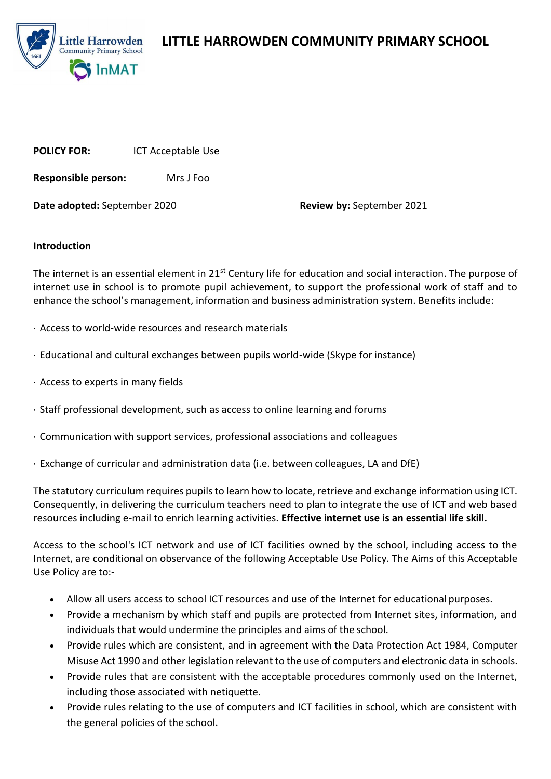

**LITTLE HARROWDEN COMMUNITY PRIMARY SCHOOL**

**POLICY FOR:** ICT Acceptable Use

**Responsible person:** Mrs J Foo

**Date adopted:** September 2020 **Review by:** September 2021

### **Introduction**

The internet is an essential element in 21<sup>st</sup> Century life for education and social interaction. The purpose of internet use in school is to promote pupil achievement, to support the professional work of staff and to enhance the school's management, information and business administration system. Benefits include:

- · Access to world-wide resources and research materials
- · Educational and cultural exchanges between pupils world-wide (Skype for instance)
- · Access to experts in many fields
- · Staff professional development, such as access to online learning and forums
- · Communication with support services, professional associations and colleagues
- · Exchange of curricular and administration data (i.e. between colleagues, LA and DfE)

The statutory curriculum requires pupils to learn how to locate, retrieve and exchange information using ICT. Consequently, in delivering the curriculum teachers need to plan to integrate the use of ICT and web based resources including e-mail to enrich learning activities. **Effective internet use is an essential life skill.**

Access to the school's ICT network and use of ICT facilities owned by the school, including access to the Internet, are conditional on observance of the following Acceptable Use Policy. The Aims of this Acceptable Use Policy are to:-

- Allow all users access to school ICT resources and use of the Internet for educational purposes.
- Provide a mechanism by which staff and pupils are protected from Internet sites, information, and individuals that would undermine the principles and aims of the school.
- Provide rules which are consistent, and in agreement with the Data Protection Act 1984, Computer Misuse Act 1990 and other legislation relevant to the use of computers and electronic data in schools.
- Provide rules that are consistent with the acceptable procedures commonly used on the Internet, including those associated with netiquette.
- Provide rules relating to the use of computers and ICT facilities in school, which are consistent with the general policies of the school.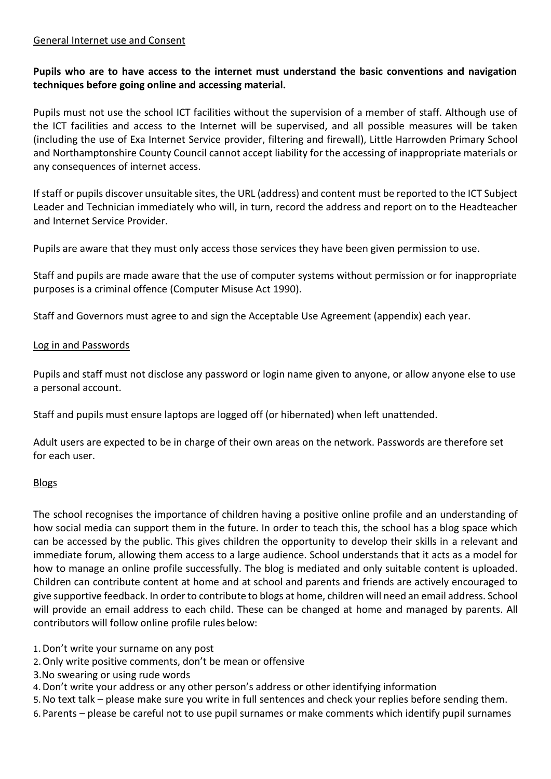### General Internet use and Consent

# **Pupils who are to have access to the internet must understand the basic conventions and navigation techniques before going online and accessing material.**

Pupils must not use the school ICT facilities without the supervision of a member of staff. Although use of the ICT facilities and access to the Internet will be supervised, and all possible measures will be taken (including the use of Exa Internet Service provider, filtering and firewall), Little Harrowden Primary School and Northamptonshire County Council cannot accept liability for the accessing of inappropriate materials or any consequences of internet access.

If staff or pupils discover unsuitable sites, the URL (address) and content must be reported to the ICT Subject Leader and Technician immediately who will, in turn, record the address and report on to the Headteacher and Internet Service Provider.

Pupils are aware that they must only access those services they have been given permission to use.

Staff and pupils are made aware that the use of computer systems without permission or for inappropriate purposes is a criminal offence (Computer Misuse Act 1990).

Staff and Governors must agree to and sign the Acceptable Use Agreement (appendix) each year.

### Log in and Passwords

Pupils and staff must not disclose any password or login name given to anyone, or allow anyone else to use a personal account.

Staff and pupils must ensure laptops are logged off (or hibernated) when left unattended.

Adult users are expected to be in charge of their own areas on the network. Passwords are therefore set for each user.

### Blogs

The school recognises the importance of children having a positive online profile and an understanding of how social media can support them in the future. In order to teach this, the school has a blog space which can be accessed by the public. This gives children the opportunity to develop their skills in a relevant and immediate forum, allowing them access to a large audience. School understands that it acts as a model for how to manage an online profile successfully. The blog is mediated and only suitable content is uploaded. Children can contribute content at home and at school and parents and friends are actively encouraged to give supportive feedback. In order to contribute to blogs at home, children will need an email address. School will provide an email address to each child. These can be changed at home and managed by parents. All contributors will follow online profile rules below:

1.Don't write your surname on any post

- 2.Only write positive comments, don't be mean or offensive
- 3.No swearing or using rude words
- 4.Don't write your address or any other person's address or other identifying information

5.No text talk – please make sure you write in full sentences and check your replies before sending them.

6.Parents – please be careful not to use pupil surnames or make comments which identify pupil surnames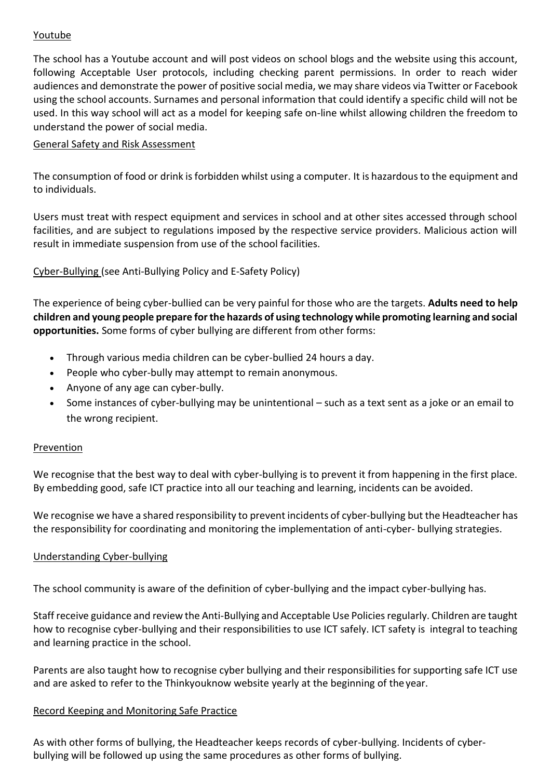### Youtube

The school has a Youtube account and will post videos on school blogs and the website using this account, following Acceptable User protocols, including checking parent permissions. In order to reach wider audiences and demonstrate the power of positive social media, we may share videos via Twitter or Facebook using the school accounts. Surnames and personal information that could identify a specific child will not be used. In this way school will act as a model for keeping safe on-line whilst allowing children the freedom to understand the power of social media.

### General Safety and Risk Assessment

The consumption of food or drink is forbidden whilst using a computer. It is hazardous to the equipment and to individuals.

Users must treat with respect equipment and services in school and at other sites accessed through school facilities, and are subject to regulations imposed by the respective service providers. Malicious action will result in immediate suspension from use of the school facilities.

Cyber-Bullying (see Anti-Bullying Policy and E-Safety Policy)

The experience of being cyber-bullied can be very painful for those who are the targets. **Adults need to help children and young people prepare for the hazards of using technology while promoting learning and social opportunities.** Some forms of cyber bullying are different from other forms:

- Through various media children can be cyber-bullied 24 hours a day.
- People who cyber-bully may attempt to remain anonymous.
- Anyone of any age can cyber-bully.
- Some instances of cyber-bullying may be unintentional such as a text sent as a joke or an email to the wrong recipient.

### **Prevention**

We recognise that the best way to deal with cyber-bullying is to prevent it from happening in the first place. By embedding good, safe ICT practice into all our teaching and learning, incidents can be avoided.

We recognise we have a shared responsibility to prevent incidents of cyber-bullying but the Headteacher has the responsibility for coordinating and monitoring the implementation of anti-cyber- bullying strategies.

## Understanding Cyber-bullying

The school community is aware of the definition of cyber-bullying and the impact cyber-bullying has.

Staff receive guidance and review the Anti-Bullying and Acceptable Use Policies regularly. Children are taught how to recognise cyber-bullying and their responsibilities to use ICT safely. ICT safety is integral to teaching and learning practice in the school.

Parents are also taught how to recognise cyber bullying and their responsibilities for supporting safe ICT use and are asked to refer to the Thinkyouknow website yearly at the beginning of theyear.

## Record Keeping and Monitoring Safe Practice

As with other forms of bullying, the Headteacher keeps records of cyber-bullying. Incidents of cyberbullying will be followed up using the same procedures as other forms of bullying.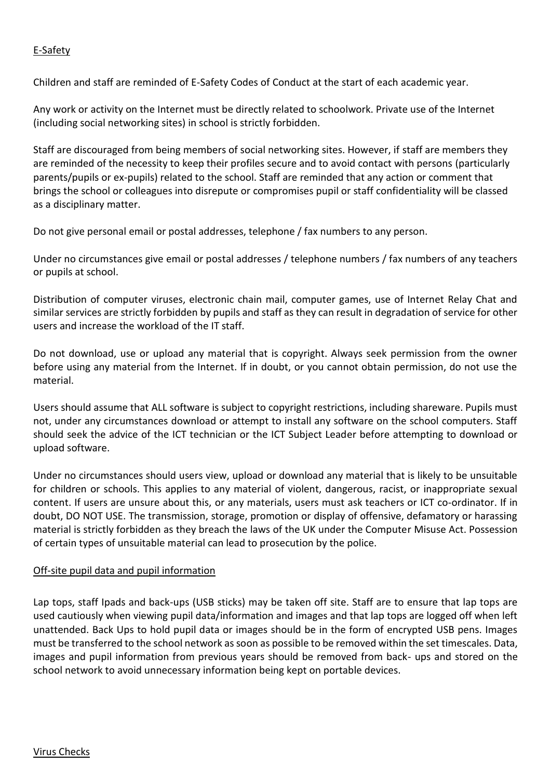# E-Safety

Children and staff are reminded of E-Safety Codes of Conduct at the start of each academic year.

Any work or activity on the Internet must be directly related to schoolwork. Private use of the Internet (including social networking sites) in school is strictly forbidden.

Staff are discouraged from being members of social networking sites. However, if staff are members they are reminded of the necessity to keep their profiles secure and to avoid contact with persons (particularly parents/pupils or ex-pupils) related to the school. Staff are reminded that any action or comment that brings the school or colleagues into disrepute or compromises pupil or staff confidentiality will be classed as a disciplinary matter.

Do not give personal email or postal addresses, telephone / fax numbers to any person.

Under no circumstances give email or postal addresses / telephone numbers / fax numbers of any teachers or pupils at school.

Distribution of computer viruses, electronic chain mail, computer games, use of Internet Relay Chat and similar services are strictly forbidden by pupils and staff as they can result in degradation of service for other users and increase the workload of the IT staff.

Do not download, use or upload any material that is copyright. Always seek permission from the owner before using any material from the Internet. If in doubt, or you cannot obtain permission, do not use the material.

Users should assume that ALL software is subject to copyright restrictions, including shareware. Pupils must not, under any circumstances download or attempt to install any software on the school computers. Staff should seek the advice of the ICT technician or the ICT Subject Leader before attempting to download or upload software.

Under no circumstances should users view, upload or download any material that is likely to be unsuitable for children or schools. This applies to any material of violent, dangerous, racist, or inappropriate sexual content. If users are unsure about this, or any materials, users must ask teachers or ICT co-ordinator. If in doubt, DO NOT USE. The transmission, storage, promotion or display of offensive, defamatory or harassing material is strictly forbidden as they breach the laws of the UK under the Computer Misuse Act. Possession of certain types of unsuitable material can lead to prosecution by the police.

## Off-site pupil data and pupil information

Lap tops, staff Ipads and back-ups (USB sticks) may be taken off site. Staff are to ensure that lap tops are used cautiously when viewing pupil data/information and images and that lap tops are logged off when left unattended. Back Ups to hold pupil data or images should be in the form of encrypted USB pens. Images must be transferred to the school network as soon as possible to be removed within the set timescales. Data, images and pupil information from previous years should be removed from back- ups and stored on the school network to avoid unnecessary information being kept on portable devices.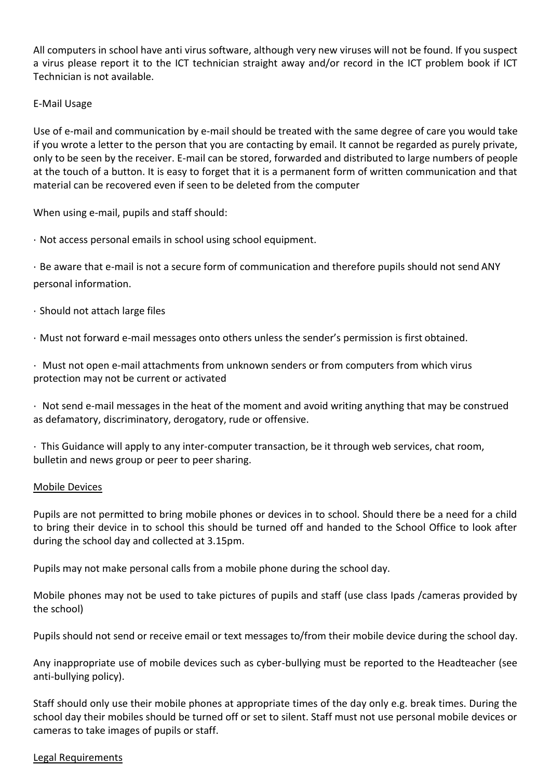All computers in school have anti virus software, although very new viruses will not be found. If you suspect a virus please report it to the ICT technician straight away and/or record in the ICT problem book if ICT Technician is not available.

### E-Mail Usage

Use of e-mail and communication by e-mail should be treated with the same degree of care you would take if you wrote a letter to the person that you are contacting by email. It cannot be regarded as purely private, only to be seen by the receiver. E-mail can be stored, forwarded and distributed to large numbers of people at the touch of a button. It is easy to forget that it is a permanent form of written communication and that material can be recovered even if seen to be deleted from the computer

When using e-mail, pupils and staff should:

· Not access personal emails in school using school equipment.

· Be aware that e-mail is not a secure form of communication and therefore pupils should not send ANY personal information.

- · Should not attach large files
- · Must not forward e-mail messages onto others unless the sender's permission is first obtained.

· Must not open e-mail attachments from unknown senders or from computers from which virus protection may not be current or activated

· Not send e-mail messages in the heat of the moment and avoid writing anything that may be construed as defamatory, discriminatory, derogatory, rude or offensive.

· This Guidance will apply to any inter-computer transaction, be it through web services, chat room, bulletin and news group or peer to peer sharing.

### Mobile Devices

Pupils are not permitted to bring mobile phones or devices in to school. Should there be a need for a child to bring their device in to school this should be turned off and handed to the School Office to look after during the school day and collected at 3.15pm.

Pupils may not make personal calls from a mobile phone during the school day.

Mobile phones may not be used to take pictures of pupils and staff (use class Ipads /cameras provided by the school)

Pupils should not send or receive email or text messages to/from their mobile device during the school day.

Any inappropriate use of mobile devices such as cyber-bullying must be reported to the Headteacher (see anti-bullying policy).

Staff should only use their mobile phones at appropriate times of the day only e.g. break times. During the school day their mobiles should be turned off or set to silent. Staff must not use personal mobile devices or cameras to take images of pupils or staff.

### Legal Requirements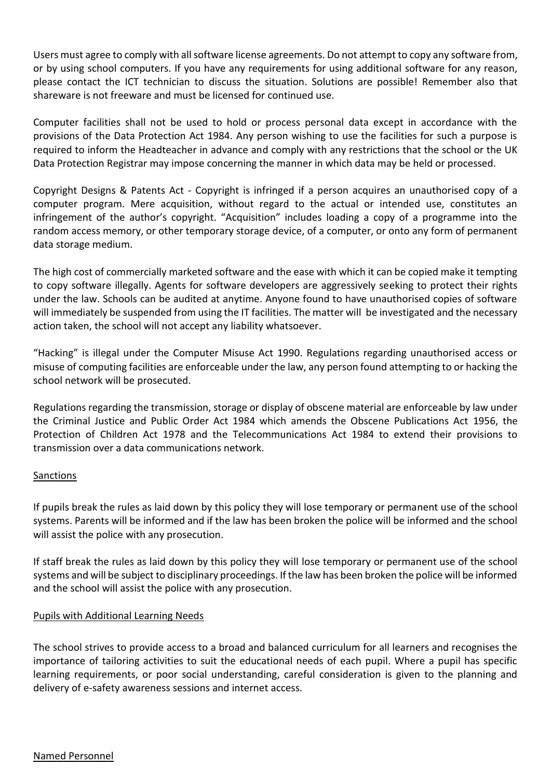Users must agree to comply with all software license agreements. Do not attempt to copy any software from, or by using school computers. If you have any requirements for using additional software for any reason, please contact the ICT technician to discuss the situation. Solutions are possible! Remember also that shareware is not freeware and must be licensed for continued use.

Computer facilities shall not be used to hold or process personal data except in accordance with the provisions of the Data Protection Act 1984. Any person wishing to use the facilities for such a purpose is required to inform the Headteacher in advance and comply with any restrictions that the school or the UK Data Protection Registrar may impose concerning the manner in which data may be held or processed.

Copyright Designs & Patents Act - Copyright is infringed if a person acquires an unauthorised copy of a computer program. Mere acquisition, without regard to the actual or intended use, constitutes an infringement of the author's copyright. "Acquisition" includes loading a copy of a programme into the random access memory, or other temporary storage device, of a computer, or onto any form of permanent data storage medium.

The high cost of commercially marketed software and the ease with which it can be copied make it tempting to copy software illegally. Agents for software developers are aggressively seeking to protect their rights under the law. Schools can be audited at anytime. Anyone found to have unauthorised copies of software will immediately be suspended from using the IT facilities. The matter will be investigated and the necessary action taken, the school will not accept any liability whatsoever.

"Hacking" is illegal under the Computer Misuse Act 1990. Regulations regarding unauthorised access or misuse of computing facilities are enforceable under the law, any person found attempting to or hacking the school network will be prosecuted.

Regulations regarding the transmission, storage or display of obscene material are enforceable by law under the Criminal Justice and Public Order Act 1984 which amends the Obscene Publications Act 1956, the Protection of Children Act 1978 and the Telecommunications Act 1984 to extend their provisions to transmission over a data communications network.

### **Sanctions**

If pupils break the rules as laid down by this policy they will lose temporary or permanent use of the school systems. Parents will be informed and if the law has been broken the police will be informed and the school will assist the police with any prosecution.

If staff break the rules as laid down by this policy they will lose temporary or permanent use of the school systems and will be subject to disciplinary proceedings. If the law has been broken the police will be informed and the school will assist the police with any prosecution.

### Pupils with Additional Learning Needs

The school strives to provide access to a broad and balanced curriculum for all learners and recognises the importance of tailoring activities to suit the educational needs of each pupil. Where a pupil has specific learning requirements, or poor social understanding, careful consideration is given to the planning and delivery of e-safety awareness sessions and internet access.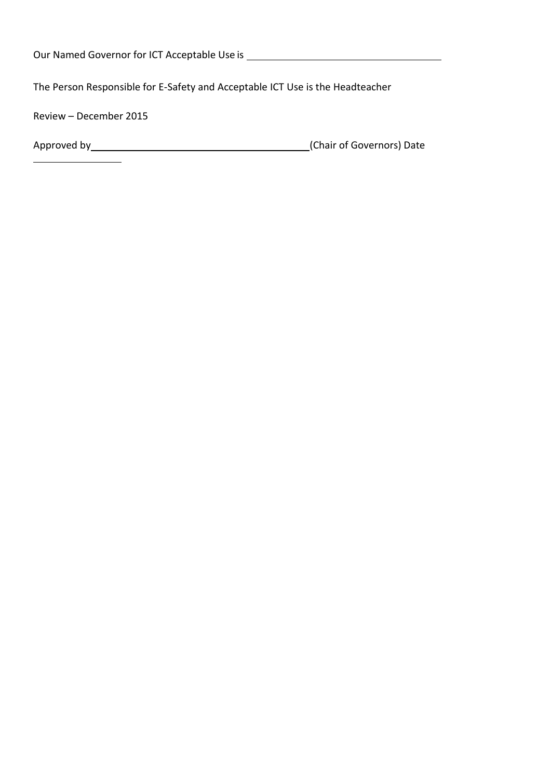The Person Responsible for E-Safety and Acceptable ICT Use is the Headteacher

Review – December 2015

| Approved by | (Chair of Governors) Date |
|-------------|---------------------------|
|-------------|---------------------------|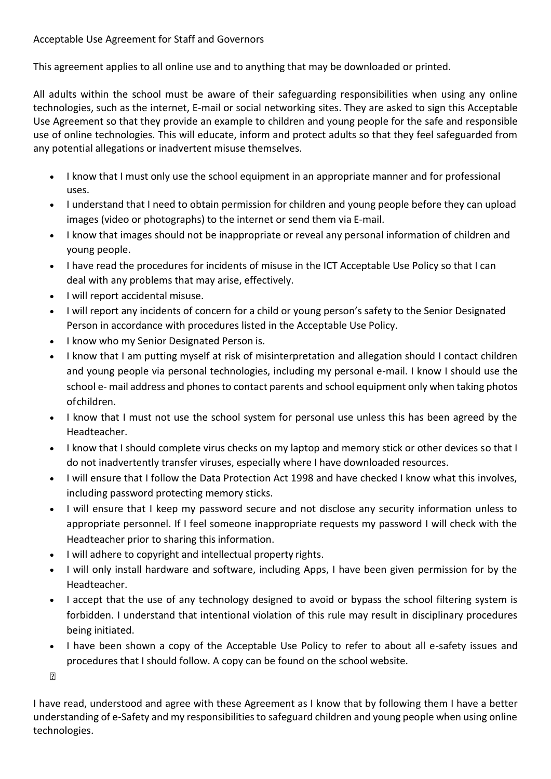# Acceptable Use Agreement for Staff and Governors

This agreement applies to all online use and to anything that may be downloaded or printed.

All adults within the school must be aware of their safeguarding responsibilities when using any online technologies, such as the internet, E-mail or social networking sites. They are asked to sign this Acceptable Use Agreement so that they provide an example to children and young people for the safe and responsible use of online technologies. This will educate, inform and protect adults so that they feel safeguarded from any potential allegations or inadvertent misuse themselves.

- I know that I must only use the school equipment in an appropriate manner and for professional uses.
- I understand that I need to obtain permission for children and young people before they can upload images (video or photographs) to the internet or send them via E-mail.
- I know that images should not be inappropriate or reveal any personal information of children and young people.
- I have read the procedures for incidents of misuse in the ICT Acceptable Use Policy so that I can deal with any problems that may arise, effectively.
- I will report accidental misuse.
- I will report any incidents of concern for a child or young person's safety to the Senior Designated Person in accordance with procedures listed in the Acceptable Use Policy.
- I know who my Senior Designated Person is.
- I know that I am putting myself at risk of misinterpretation and allegation should I contact children and young people via personal technologies, including my personal e-mail. I know I should use the school e- mail address and phones to contact parents and school equipment only when taking photos ofchildren.
- I know that I must not use the school system for personal use unless this has been agreed by the Headteacher.
- I know that I should complete virus checks on my laptop and memory stick or other devices so that I do not inadvertently transfer viruses, especially where I have downloaded resources.
- I will ensure that I follow the Data Protection Act 1998 and have checked I know what this involves, including password protecting memory sticks.
- I will ensure that I keep my password secure and not disclose any security information unless to appropriate personnel. If I feel someone inappropriate requests my password I will check with the Headteacher prior to sharing this information.
- I will adhere to copyright and intellectual property rights.
- I will only install hardware and software, including Apps, I have been given permission for by the Headteacher.
- I accept that the use of any technology designed to avoid or bypass the school filtering system is forbidden. I understand that intentional violation of this rule may result in disciplinary procedures being initiated.
- I have been shown a copy of the Acceptable Use Policy to refer to about all e-safety issues and procedures that I should follow. A copy can be found on the school website.

 $\overline{E}$ 

I have read, understood and agree with these Agreement as I know that by following them I have a better understanding of e-Safety and my responsibilities to safeguard children and young people when using online technologies.